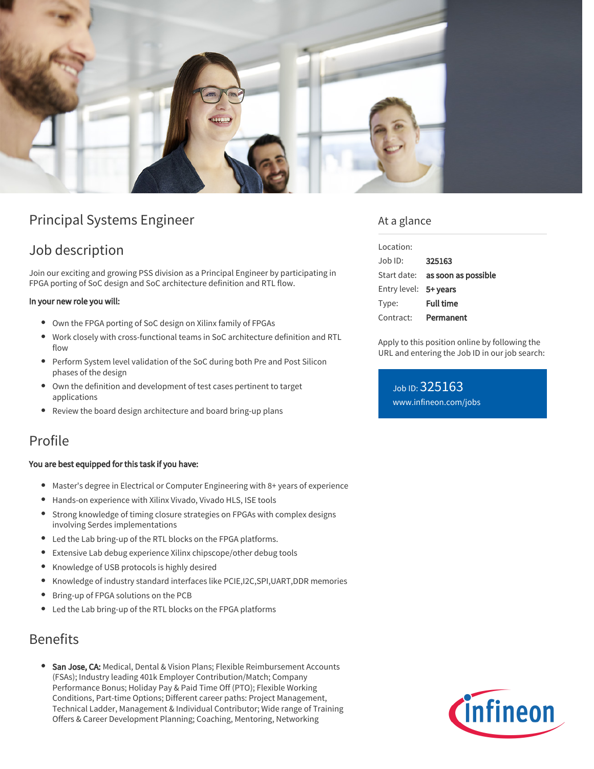

# Principal Systems Engineer

## Job description

Join our exciting and growing PSS division as a Principal Engineer by participating in FPGA porting of SoC design and SoC architecture definition and RTL flow.

#### In your new role you will:

- Own the FPGA porting of SoC design on Xilinx family of FPGAs
- Work closely with cross-functional teams in SoC architecture definition and RTL flow
- Perform System level validation of the SoC during both Pre and Post Silicon phases of the design
- Own the definition and development of test cases pertinent to target applications
- $\bullet$ Review the board design architecture and board bring-up plans

### Profile

#### You are best equipped for this task if you have:

- Master's degree in Electrical or Computer Engineering with 8+ years of experience
- Hands-on experience with Xilinx Vivado, Vivado HLS, ISE tools
- Strong knowledge of timing closure strategies on FPGAs with complex designs involving Serdes implementations
- Led the Lab bring-up of the RTL blocks on the FPGA platforms.
- Extensive Lab debug experience Xilinx chipscope/other debug tools
- Knowledge of USB protocols is highly desired
- $\bullet$ Knowledge of industry standard interfaces like PCIE,I2C,SPI,UART,DDR memories
- Bring-up of FPGA solutions on the PCB
- Led the Lab bring-up of the RTL blocks on the FPGA platforms

### Benefits

**San Jose, CA:** Medical, Dental & Vision Plans; Flexible Reimbursement Accounts (FSAs); Industry leading 401k Employer Contribution/Match; Company Performance Bonus; Holiday Pay & Paid Time Off (PTO); Flexible Working Conditions, Part-time Options; Different career paths: Project Management, Technical Ladder, Management & Individual Contributor; Wide range of Training Offers & Career Development Planning; Coaching, Mentoring, Networking

### At a glance

| Location:             |                                 |
|-----------------------|---------------------------------|
| $Joh$ ID:             | 325163                          |
|                       | Start date: as soon as possible |
| Entry level: 5+ years |                                 |
| Type:                 | <b>Full time</b>                |
| Contract:             | Permanent                       |

Apply to this position online by following the URL and entering the Job ID in our job search:

Job ID: 325163 [www.infineon.com/jobs](https://www.infineon.com/jobs)